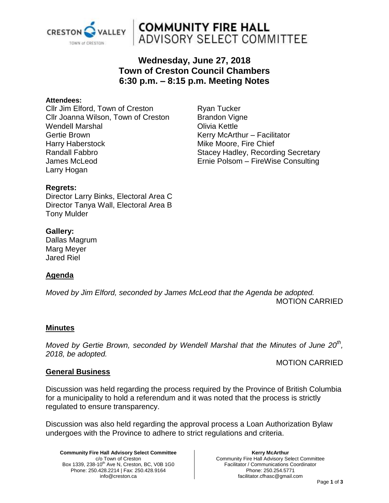

## **COMMUNITY FIRE HALL** ADVISORY SELECT COMMITTEE

### **Wednesday, June 27, 2018 Town of Creston Council Chambers 6:30 p.m. – 8:15 p.m. Meeting Notes**

#### **Attendees:**

Cllr Jim Elford, Town of Creston Cllr Joanna Wilson, Town of Creston Wendell Marshal Gertie Brown Harry Haberstock Randall Fabbro James McLeod Larry Hogan

Ryan Tucker Brandon Vigne Olivia Kettle Kerry McArthur – Facilitator Mike Moore, Fire Chief Stacey Hadley, Recording Secretary Ernie Polsom – FireWise Consulting

#### **Regrets:**

Director Larry Binks, Electoral Area C Director Tanya Wall, Electoral Area B Tony Mulder

#### **Gallery:**

Dallas Magrum Marg Meyer Jared Riel

### **Agenda**

*Moved by Jim Elford, seconded by James McLeod that the Agenda be adopted.* MOTION CARRIED

#### **Minutes**

*Moved by Gertie Brown, seconded by Wendell Marshal that the Minutes of June 20th , 2018, be adopted.* 

#### MOTION CARRIED

#### **General Business**

Discussion was held regarding the process required by the Province of British Columbia for a municipality to hold a referendum and it was noted that the process is strictly regulated to ensure transparency.

Discussion was also held regarding the approval process a Loan Authorization Bylaw undergoes with the Province to adhere to strict regulations and criteria.

**Community Fire Hall Advisory Select Committee** c/o Town of Creston Box 1339, 238-10<sup>th</sup> Ave N, Creston, BC, V0B 1G0 Phone: 250.428.2214 | Fax: 250.428.9164 info@creston.ca

#### **Kerry McArthur** Community Fire Hall Advisory Select Committee Facilitator / Communications Coordinator Phone: 250.254.5771 facilitator.cfhasc@gmail.com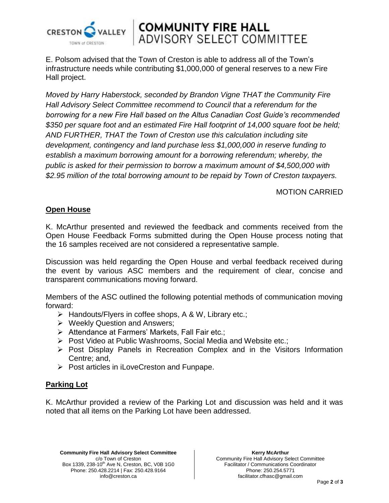

## **COMMUNITY FIRE HALL<br>ADVISORY SELECT COMMITTEE**

E. Polsom advised that the Town of Creston is able to address all of the Town's infrastructure needs while contributing \$1,000,000 of general reserves to a new Fire Hall project.

*Moved by Harry Haberstock, seconded by Brandon Vigne THAT the Community Fire Hall Advisory Select Committee recommend to Council that a referendum for the borrowing for a new Fire Hall based on the Altus Canadian Cost Guide's recommended \$350 per square foot and an estimated Fire Hall footprint of 14,000 square foot be held; AND FURTHER, THAT the Town of Creston use this calculation including site development, contingency and land purchase less \$1,000,000 in reserve funding to establish a maximum borrowing amount for a borrowing referendum; whereby, the public is asked for their permission to borrow a maximum amount of \$4,500,000 with \$2.95 million of the total borrowing amount to be repaid by Town of Creston taxpayers.*

#### MOTION CARRIED

#### **Open House**

K. McArthur presented and reviewed the feedback and comments received from the Open House Feedback Forms submitted during the Open House process noting that the 16 samples received are not considered a representative sample.

Discussion was held regarding the Open House and verbal feedback received during the event by various ASC members and the requirement of clear, concise and transparent communications moving forward.

Members of the ASC outlined the following potential methods of communication moving forward:

- > Handouts/Flyers in coffee shops, A & W, Library etc.;
- $\triangleright$  Weekly Question and Answers;
- $\triangleright$  Attendance at Farmers' Markets, Fall Fair etc.;
- Post Video at Public Washrooms, Social Media and Website etc.;
- $\triangleright$  Post Display Panels in Recreation Complex and in the Visitors Information Centre; and,
- $\triangleright$  Post articles in iLoveCreston and Funpape.

### **Parking Lot**

K. McArthur provided a review of the Parking Lot and discussion was held and it was noted that all items on the Parking Lot have been addressed.

**Community Fire Hall Advisory Select Committee** c/o Town of Creston Box 1339, 238-10<sup>th</sup> Ave N, Creston, BC, V0B 1G0 Phone: 250.428.2214 | Fax: 250.428.9164 info@creston.ca

**Kerry McArthur** Community Fire Hall Advisory Select Committee Facilitator / Communications Coordinator Phone: 250.254.5771 facilitator.cfhasc@gmail.com